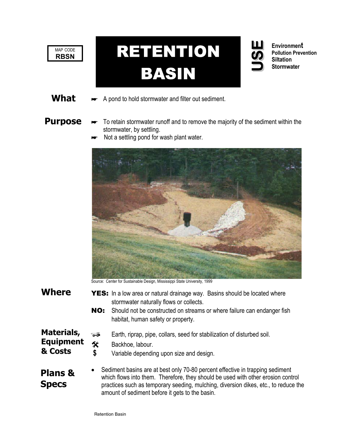



What  $\longrightarrow$  A pond to hold stormwater and filter out sediment.

**& Costs**

**Purpose**  $\rightarrow$  To retain stormwater runoff and to remove the majority of the sediment within the stormwater, by settling.

**Environment Pollution Prevention** 

**Siltation Stormwater**

. .

Not a settling pond for wash plant water.



Source: Center for Sustainable Design, Mississippi State University, 1999

- **Where** YES: In a low area or natural drainage way. Basins should be located where stormwater naturally flows or collects.
	- NO: Should not be constructed on streams or where failure can endanger fish habitat, human safety or property.
- **Materials,**  Earth, riprap, pipe, collars, seed for stabilization of disturbed soil.
- **Equipment**  # Backhoe, labour.
	- **\$** Variable depending upon size and design.

## • Sediment basins are at best only 70-80 percent effective in trapping sediment which flows into them. Therefore, they should be used with other erosion control practices such as temporary seeding, mulching, diversion dikes, etc., to reduce the amount of sediment before it gets to the basin. **Plans & Specs**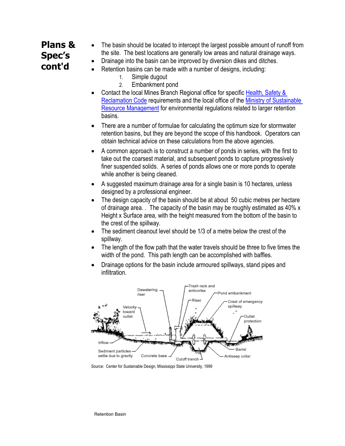# **Plans & Spec's cont'd**

- The basin should be located to intercept the largest possible amount of runoff from the site. The best locations are generally low areas and natural drainage ways.
- Drainage into the basin can be improved by diversion dikes and ditches.
- Retention basins can be made with a number of designs, including:
	- 1. Simple dugout
	- 2. Embankment pond
- Contact the local Mines Branch Regional office for specific Health, Safety & [Reclamation Code](http://www.em.gov.bc.ca/Mining/Healsafe/hsrecode1.htm) requirements and the local office of the [Ministry of Sustainable](http://www.gov.bc.ca/srm/)  [Resource Management](http://www.gov.bc.ca/srm/) for environmental regulations related to larger retention basins.
- There are a number of formulae for calculating the optimum size for stormwater retention basins, but they are beyond the scope of this handbook. Operators can obtain technical advice on these calculations from the above agencies.
- A common approach is to construct a number of ponds in series, with the first to take out the coarsest material, and subsequent ponds to capture progressively finer suspended solids. A series of ponds allows one or more ponds to operate while another is being cleaned.
- A suggested maximum drainage area for a single basin is 10 hectares, unless designed by a professional engineer.
- The design capacity of the basin should be at about 50 cubic metres per hectare of drainage area. . The capacity of the basin may be roughly estimated as 40% x Height x Surface area, with the height measured from the bottom of the basin to the crest of the spillway.
- The sediment cleanout level should be 1/3 of a metre below the crest of the spillway.
- The length of the flow path that the water travels should be three to five times the width of the pond. This path length can be accomplished with baffles.
- Drainage options for the basin include armoured spillways, stand pipes and infiltration.



Source: Center for Sustainable Design, Mississippi State University, 1999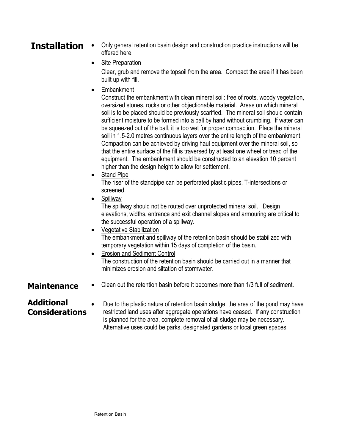## **Installation** • Only general retention basin design and construction practice instructions will be offered here.

• Site Preparation

Clear, grub and remove the topsoil from the area. Compact the area if it has been built up with fill.

**Embankment** 

Construct the embankment with clean mineral soil: free of roots, woody vegetation, oversized stones, rocks or other objectionable material. Areas on which mineral soil is to be placed should be previously scarified. The mineral soil should contain sufficient moisture to be formed into a ball by hand without crumbling. If water can be squeezed out of the ball, it is too wet for proper compaction. Place the mineral soil in 1.5-2.0 metres continuous layers over the entire length of the embankment. Compaction can be achieved by driving haul equipment over the mineral soil, so that the entire surface of the fill is traversed by at least one wheel or tread of the equipment. The embankment should be constructed to an elevation 10 percent higher than the design height to allow for settlement.

• Stand Pipe

The riser of the standpipe can be perforated plastic pipes, T-intersections or screened.

**Spillway** 

The spillway should not be routed over unprotected mineral soil. Design elevations, widths, entrance and exit channel slopes and armouring are critical to the successful operation of a spillway.

- Vegetative Stabilization The embankment and spillway of the retention basin should be stabilized with temporary vegetation within 15 days of completion of the basin.
- Erosion and Sediment Control The construction of the retention basin should be carried out in a manner that minimizes erosion and siltation of stormwater.
- **Maintenance** Clean out the retention basin before it becomes more than 1/3 full of sediment.

# **Additional Considerations**

• Due to the plastic nature of retention basin sludge, the area of the pond may have restricted land uses after aggregate operations have ceased. If any construction is planned for the area, complete removal of all sludge may be necessary. Alternative uses could be parks, designated gardens or local green spaces.